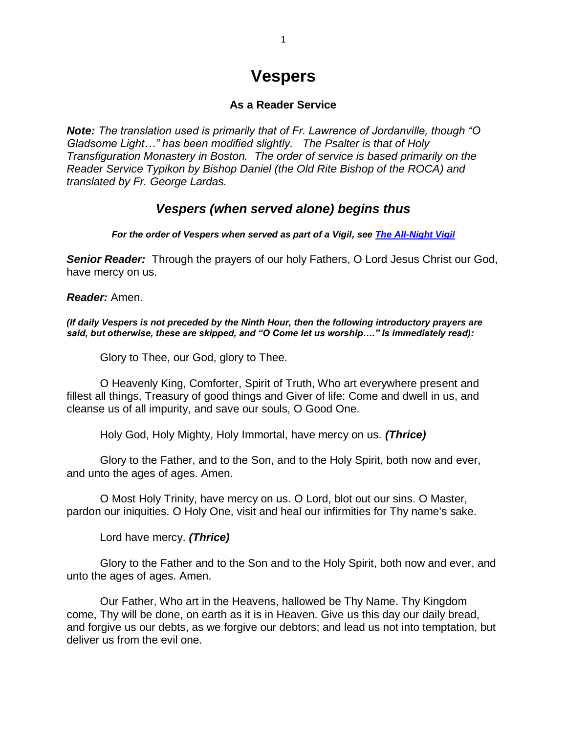## **Vespers**

## **As a Reader Service**

*Note: The translation used is primarily that of Fr. Lawrence of Jordanville, though "O Gladsome Light…" has been modified slightly. The Psalter is that of Holy Transfiguration Monastery in Boston. The order of service is based primarily on the Reader Service Typikon by Bishop Daniel (the Old Rite Bishop of the ROCA) and translated by Fr. George Lardas.*

## *Vespers (when served alone) begins thus*

*For the order of Vespers when served as part of a Vigil, see [The All-Night Vigil](http://pages.prodigy.net/frjohnwhiteford/vigil.htm)*

*Senior Reader:* Through the prayers of our holy Fathers, O Lord Jesus Christ our God, have mercy on us.

*Reader:* Amen.

*(If daily Vespers is not preceded by the Ninth Hour, then the following introductory prayers are said, but otherwise, these are skipped, and "O Come let us worship…." Is immediately read):*

Glory to Thee, our God, glory to Thee.

O Heavenly King, Comforter, Spirit of Truth, Who art everywhere present and fillest all things, Treasury of good things and Giver of life: Come and dwell in us, and cleanse us of all impurity, and save our souls, O Good One.

Holy God, Holy Mighty, Holy Immortal, have mercy on us. *(Thrice)*

Glory to the Father, and to the Son, and to the Holy Spirit, both now and ever, and unto the ages of ages. Amen.

O Most Holy Trinity, have mercy on us. O Lord, blot out our sins. O Master, pardon our iniquities. O Holy One, visit and heal our infirmities for Thy name's sake.

Lord have mercy. *(Thrice)*

Glory to the Father and to the Son and to the Holy Spirit, both now and ever, and unto the ages of ages. Amen.

Our Father, Who art in the Heavens, hallowed be Thy Name. Thy Kingdom come, Thy will be done, on earth as it is in Heaven. Give us this day our daily bread, and forgive us our debts, as we forgive our debtors; and lead us not into temptation, but deliver us from the evil one.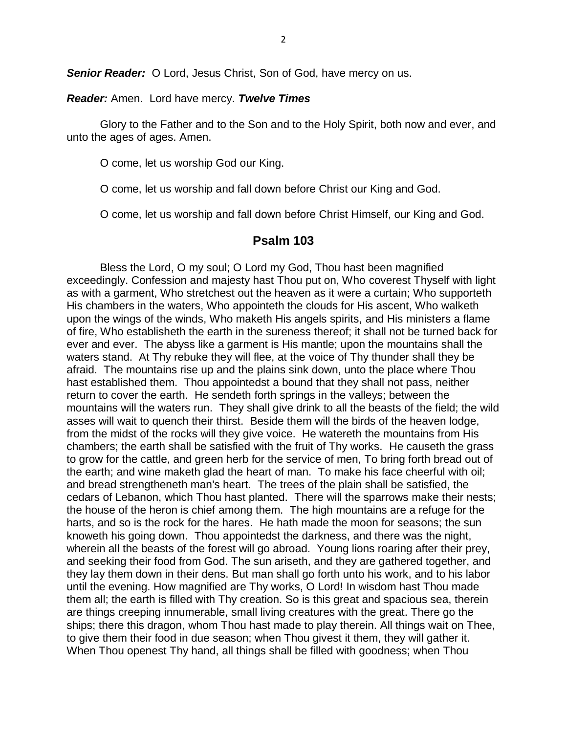**Senior Reader:** O Lord, Jesus Christ, Son of God, have mercy on us.

#### *Reader:* Amen. Lord have mercy. *Twelve Times*

Glory to the Father and to the Son and to the Holy Spirit, both now and ever, and unto the ages of ages. Amen.

O come, let us worship God our King.

O come, let us worship and fall down before Christ our King and God.

O come, let us worship and fall down before Christ Himself, our King and God.

## **Psalm 103**

Bless the Lord, O my soul; O Lord my God, Thou hast been magnified exceedingly. Confession and majesty hast Thou put on, Who coverest Thyself with light as with a garment, Who stretchest out the heaven as it were a curtain; Who supporteth His chambers in the waters, Who appointeth the clouds for His ascent, Who walketh upon the wings of the winds, Who maketh His angels spirits, and His ministers a flame of fire, Who establisheth the earth in the sureness thereof; it shall not be turned back for ever and ever. The abyss like a garment is His mantle; upon the mountains shall the waters stand. At Thy rebuke they will flee, at the voice of Thy thunder shall they be afraid. The mountains rise up and the plains sink down, unto the place where Thou hast established them. Thou appointedst a bound that they shall not pass, neither return to cover the earth. He sendeth forth springs in the valleys; between the mountains will the waters run. They shall give drink to all the beasts of the field; the wild asses will wait to quench their thirst. Beside them will the birds of the heaven lodge, from the midst of the rocks will they give voice. He watereth the mountains from His chambers; the earth shall be satisfied with the fruit of Thy works. He causeth the grass to grow for the cattle, and green herb for the service of men, To bring forth bread out of the earth; and wine maketh glad the heart of man. To make his face cheerful with oil; and bread strengtheneth man's heart. The trees of the plain shall be satisfied, the cedars of Lebanon, which Thou hast planted. There will the sparrows make their nests; the house of the heron is chief among them. The high mountains are a refuge for the harts, and so is the rock for the hares. He hath made the moon for seasons; the sun knoweth his going down. Thou appointedst the darkness, and there was the night, wherein all the beasts of the forest will go abroad. Young lions roaring after their prey, and seeking their food from God. The sun ariseth, and they are gathered together, and they lay them down in their dens. But man shall go forth unto his work, and to his labor until the evening. How magnified are Thy works, O Lord! In wisdom hast Thou made them all; the earth is filled with Thy creation. So is this great and spacious sea, therein are things creeping innumerable, small living creatures with the great. There go the ships; there this dragon, whom Thou hast made to play therein. All things wait on Thee, to give them their food in due season; when Thou givest it them, they will gather it. When Thou openest Thy hand, all things shall be filled with goodness; when Thou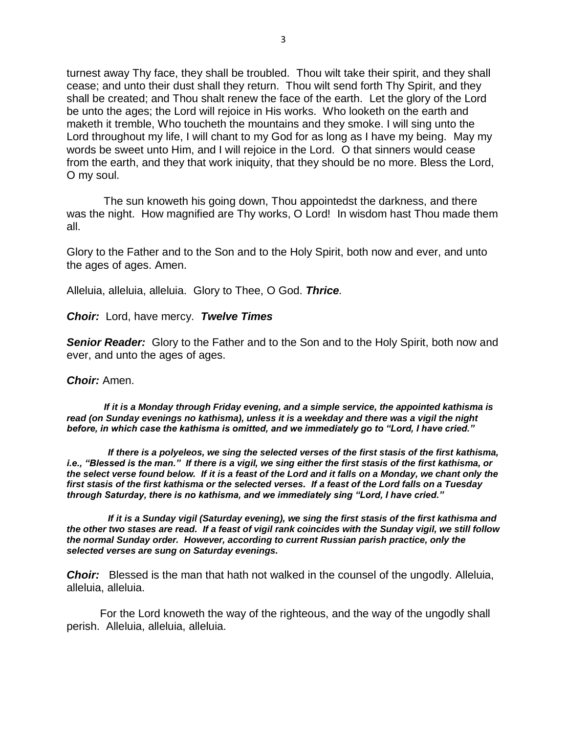turnest away Thy face, they shall be troubled. Thou wilt take their spirit, and they shall cease; and unto their dust shall they return. Thou wilt send forth Thy Spirit, and they shall be created; and Thou shalt renew the face of the earth. Let the glory of the Lord be unto the ages; the Lord will rejoice in His works. Who looketh on the earth and maketh it tremble, Who toucheth the mountains and they smoke. I will sing unto the Lord throughout my life, I will chant to my God for as long as I have my being. May my words be sweet unto Him, and I will rejoice in the Lord. O that sinners would cease from the earth, and they that work iniquity, that they should be no more. Bless the Lord, O my soul.

 The sun knoweth his going down, Thou appointedst the darkness, and there was the night. How magnified are Thy works, O Lord! In wisdom hast Thou made them all.

Glory to the Father and to the Son and to the Holy Spirit, both now and ever, and unto the ages of ages. Amen.

Alleluia, alleluia, alleluia. Glory to Thee, O God. *Thrice.*

*Choir:* Lord, have mercy. *Twelve Times*

*Senior Reader:* Glory to the Father and to the Son and to the Holy Spirit, both now and ever, and unto the ages of ages.

#### *Choir:* Amen.

 *If it is a Monday through Friday evening, and a simple service, the appointed kathisma is read (on Sunday evenings no kathisma), unless it is a weekday and there was a vigil the night before, in which case the kathisma is omitted, and we immediately go to "Lord, I have cried."*

 *If there is a polyeleos, we sing the selected verses of the first stasis of the first kathisma, i.e., "Blessed is the man." If there is a vigil, we sing either the first stasis of the first kathisma, or the select verse found below. If it is a feast of the Lord and it falls on a Monday, we chant only the first stasis of the first kathisma or the selected verses. If a feast of the Lord falls on a Tuesday through Saturday, there is no kathisma, and we immediately sing "Lord, I have cried."*

 *If it is a Sunday vigil (Saturday evening), we sing the first stasis of the first kathisma and the other two stases are read. If a feast of vigil rank coincides with the Sunday vigil, we still follow the normal Sunday order. However, according to current Russian parish practice, only the selected verses are sung on Saturday evenings.*

*Choir:* Blessed is the man that hath not walked in the counsel of the ungodly. Alleluia, alleluia, alleluia.

For the Lord knoweth the way of the righteous, and the way of the ungodly shall perish. Alleluia, alleluia, alleluia.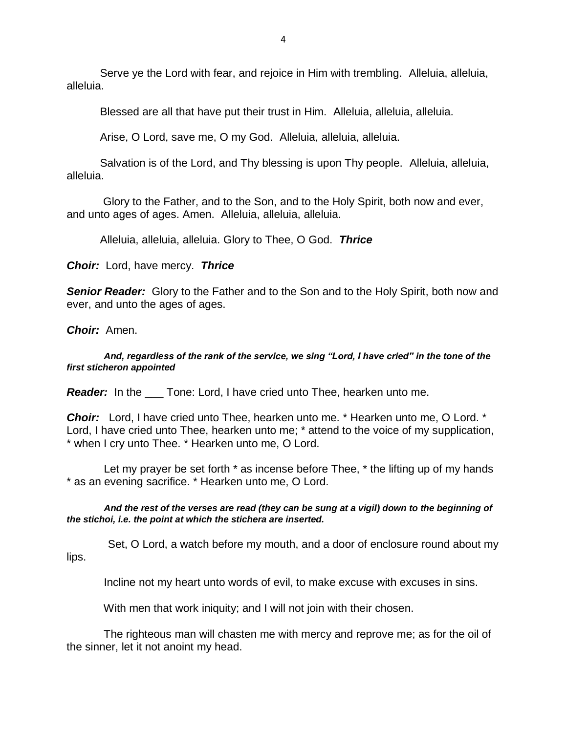Serve ye the Lord with fear, and rejoice in Him with trembling. Alleluia, alleluia, alleluia.

Blessed are all that have put their trust in Him. Alleluia, alleluia, alleluia.

Arise, O Lord, save me, O my God. Alleluia, alleluia, alleluia.

Salvation is of the Lord, and Thy blessing is upon Thy people. Alleluia, alleluia, alleluia.

Glory to the Father, and to the Son, and to the Holy Spirit, both now and ever, and unto ages of ages. Amen. Alleluia, alleluia, alleluia.

Alleluia, alleluia, alleluia. Glory to Thee, O God. *Thrice*

*Choir:* Lord, have mercy. *Thrice*

*Senior Reader:* Glory to the Father and to the Son and to the Holy Spirit, both now and ever, and unto the ages of ages.

*Choir:* Amen.

 *And, regardless of the rank of the service, we sing "Lord, I have cried" in the tone of the first sticheron appointed*

*Reader:* In the \_\_\_ Tone: Lord, I have cried unto Thee, hearken unto me.

*Choir:* Lord, I have cried unto Thee, hearken unto me. \* Hearken unto me, O Lord. \* Lord, I have cried unto Thee, hearken unto me; \* attend to the voice of my supplication, \* when I cry unto Thee. \* Hearken unto me, O Lord.

Let my prayer be set forth  $*$  as incense before Thee,  $*$  the lifting up of my hands \* as an evening sacrifice. \* Hearken unto me, O Lord.

 *And the rest of the verses are read (they can be sung at a vigil) down to the beginning of the stichoi, i.e. the point at which the stichera are inserted.*

Set, O Lord, a watch before my mouth, and a door of enclosure round about my lips.

Incline not my heart unto words of evil, to make excuse with excuses in sins.

With men that work iniquity; and I will not join with their chosen.

 The righteous man will chasten me with mercy and reprove me; as for the oil of the sinner, let it not anoint my head.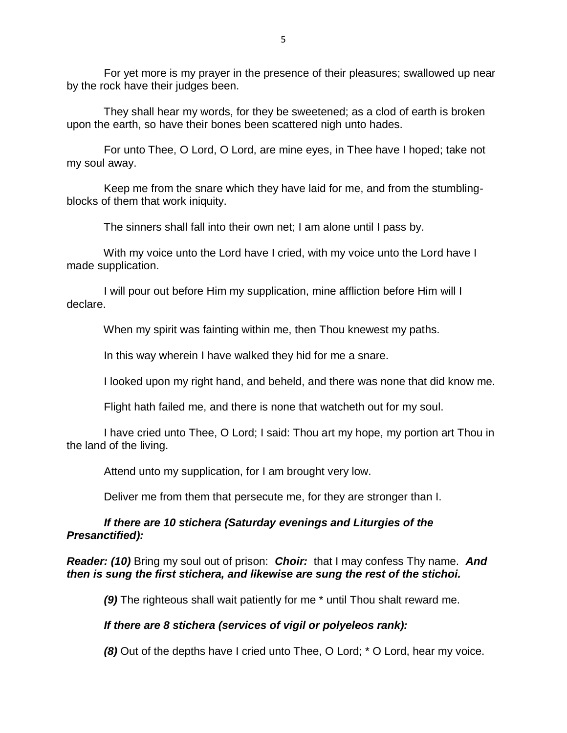For yet more is my prayer in the presence of their pleasures; swallowed up near by the rock have their judges been.

 They shall hear my words, for they be sweetened; as a clod of earth is broken upon the earth, so have their bones been scattered nigh unto hades.

 For unto Thee, O Lord, O Lord, are mine eyes, in Thee have I hoped; take not my soul away.

 Keep me from the snare which they have laid for me, and from the stumblingblocks of them that work iniquity.

The sinners shall fall into their own net; I am alone until I pass by.

 With my voice unto the Lord have I cried, with my voice unto the Lord have I made supplication.

 I will pour out before Him my supplication, mine affliction before Him will I declare.

When my spirit was fainting within me, then Thou knewest my paths.

In this way wherein I have walked they hid for me a snare.

I looked upon my right hand, and beheld, and there was none that did know me.

Flight hath failed me, and there is none that watcheth out for my soul.

 I have cried unto Thee, O Lord; I said: Thou art my hope, my portion art Thou in the land of the living.

Attend unto my supplication, for I am brought very low.

Deliver me from them that persecute me, for they are stronger than I.

## *If there are 10 stichera (Saturday evenings and Liturgies of the Presanctified):*

*Reader: (10)* Bring my soul out of prison: *Choir:* that I may confess Thy name. *And then is sung the first stichera, and likewise are sung the rest of the stichoi.*

 *(9)* The righteous shall wait patiently for me \* until Thou shalt reward me.

## *If there are 8 stichera (services of vigil or polyeleos rank):*

**(8)** Out of the depths have I cried unto Thee, O Lord; \* O Lord, hear my voice.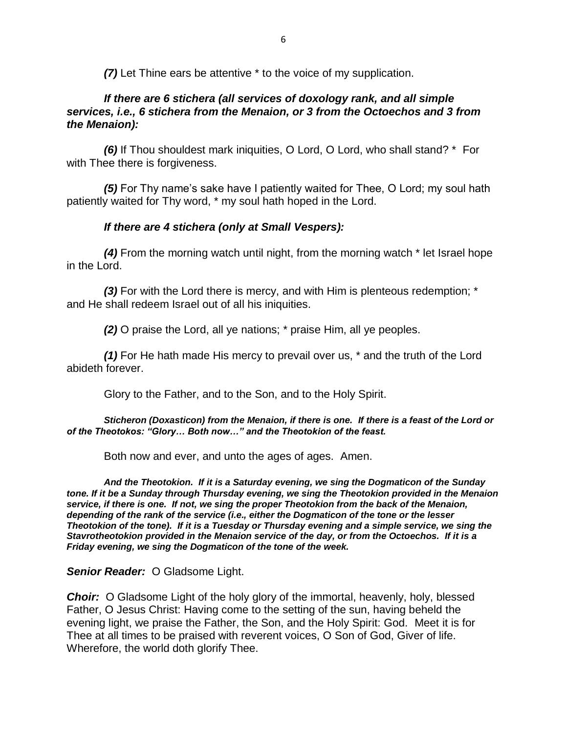*(7)* Let Thine ears be attentive \* to the voice of my supplication.

## *If there are 6 stichera (all services of doxology rank, and all simple services, i.e., 6 stichera from the Menaion, or 3 from the Octoechos and 3 from the Menaion):*

 *(6)* If Thou shouldest mark iniquities, O Lord, O Lord, who shall stand? \* For with Thee there is forgiveness.

 *(5)* For Thy name's sake have I patiently waited for Thee, O Lord; my soul hath patiently waited for Thy word, \* my soul hath hoped in the Lord.

## *If there are 4 stichera (only at Small Vespers):*

 *(4)* From the morning watch until night, from the morning watch \* let Israel hope in the Lord.

 *(3)* For with the Lord there is mercy, and with Him is plenteous redemption; \* and He shall redeem Israel out of all his iniquities.

*(2)* O praise the Lord, all ye nations; \* praise Him, all ye peoples.

 *(1)* For He hath made His mercy to prevail over us, \* and the truth of the Lord abideth forever.

Glory to the Father, and to the Son, and to the Holy Spirit.

 *Sticheron (Doxasticon) from the Menaion, if there is one. If there is a feast of the Lord or of the Theotokos: "Glory… Both now…" and the Theotokion of the feast.*

Both now and ever, and unto the ages of ages. Amen.

 *And the Theotokion. If it is a Saturday evening, we sing the Dogmaticon of the Sunday tone. If it be a Sunday through Thursday evening, we sing the Theotokion provided in the Menaion service, if there is one. If not, we sing the proper Theotokion from the back of the Menaion, depending of the rank of the service (i.e., either the Dogmaticon of the tone or the lesser Theotokion of the tone). If it is a Tuesday or Thursday evening and a simple service, we sing the Stavrotheotokion provided in the Menaion service of the day, or from the Octoechos. If it is a Friday evening, we sing the Dogmaticon of the tone of the week.*

## *Senior Reader:* O Gladsome Light.

*Choir:* O Gladsome Light of the holy glory of the immortal, heavenly, holy, blessed Father, O Jesus Christ: Having come to the setting of the sun, having beheld the evening light, we praise the Father, the Son, and the Holy Spirit: God. Meet it is for Thee at all times to be praised with reverent voices, O Son of God, Giver of life. Wherefore, the world doth glorify Thee.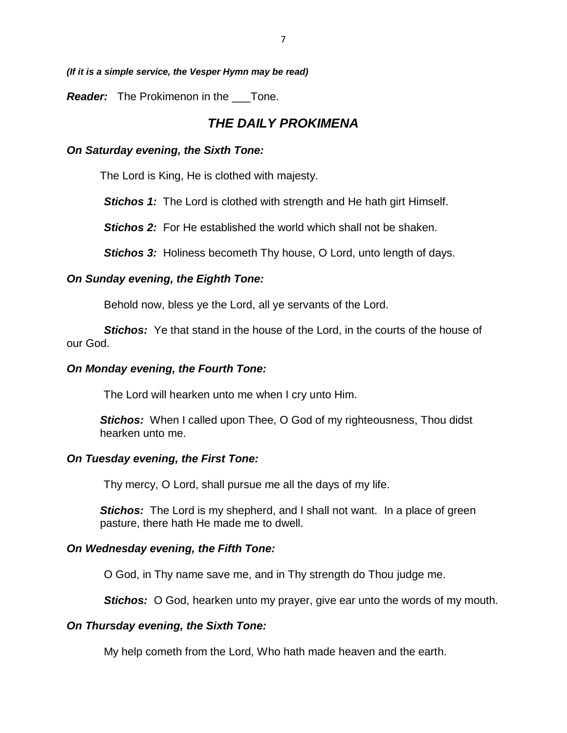7

*(If it is a simple service, the Vesper Hymn may be read)*

*Reader:* The Prokimenon in the \_\_\_Tone.

## *THE DAILY PROKIMENA*

#### *On Saturday evening, the Sixth Tone:*

The Lord is King, He is clothed with majesty.

**Stichos 1:** The Lord is clothed with strength and He hath girt Himself.

*Stichos 2:* For He established the world which shall not be shaken.

*Stichos 3:* Holiness becometh Thy house, O Lord, unto length of days.

#### *On Sunday evening, the Eighth Tone:*

Behold now, bless ye the Lord, all ye servants of the Lord.

**Stichos:** Ye that stand in the house of the Lord, in the courts of the house of our God.

#### *On Monday evening, the Fourth Tone:*

The Lord will hearken unto me when I cry unto Him.

**Stichos:** When I called upon Thee, O God of my righteousness, Thou didst hearken unto me.

#### *On Tuesday evening, the First Tone:*

Thy mercy, O Lord, shall pursue me all the days of my life.

*Stichos:* The Lord is my shepherd, and I shall not want. In a place of green pasture, there hath He made me to dwell.

#### *On Wednesday evening, the Fifth Tone:*

O God, in Thy name save me, and in Thy strength do Thou judge me.

*Stichos:* O God, hearken unto my prayer, give ear unto the words of my mouth.

#### *On Thursday evening, the Sixth Tone:*

My help cometh from the Lord, Who hath made heaven and the earth.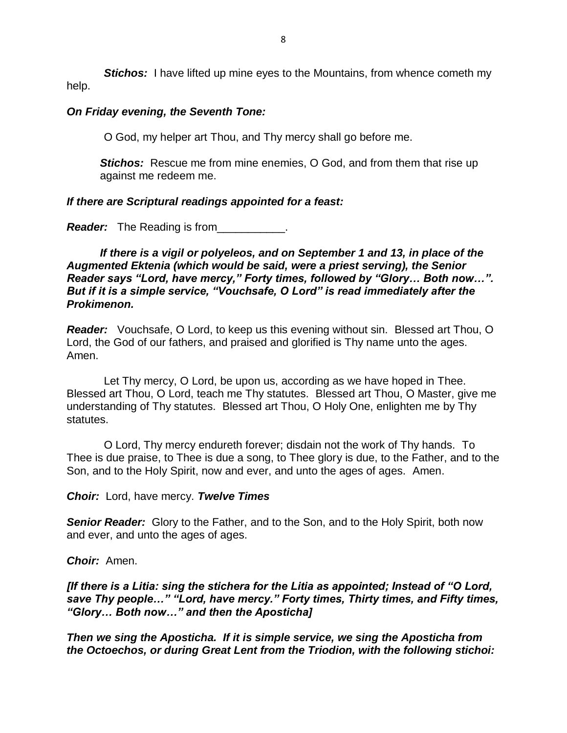*Stichos:* I have lifted up mine eyes to the Mountains, from whence cometh my help.

#### *On Friday evening, the Seventh Tone:*

O God, my helper art Thou, and Thy mercy shall go before me.

*Stichos:* Rescue me from mine enemies, O God, and from them that rise up against me redeem me.

#### *If there are Scriptural readings appointed for a feast:*

*Reader:* The Reading is from\_\_\_\_\_\_\_\_\_\_\_.

*If there is a vigil or polyeleos, and on September 1 and 13, in place of the Augmented Ektenia (which would be said, were a priest serving), the Senior Reader says "Lord, have mercy," Forty times, followed by "Glory… Both now…". But if it is a simple service, "Vouchsafe, O Lord" is read immediately after the Prokimenon.*

*Reader:* Vouchsafe, O Lord, to keep us this evening without sin. Blessed art Thou, O Lord, the God of our fathers, and praised and glorified is Thy name unto the ages. Amen.

 Let Thy mercy, O Lord, be upon us, according as we have hoped in Thee. Blessed art Thou, O Lord, teach me Thy statutes. Blessed art Thou, O Master, give me understanding of Thy statutes. Blessed art Thou, O Holy One, enlighten me by Thy statutes.

 O Lord, Thy mercy endureth forever; disdain not the work of Thy hands. To Thee is due praise, to Thee is due a song, to Thee glory is due, to the Father, and to the Son, and to the Holy Spirit, now and ever, and unto the ages of ages. Amen.

*Choir:* Lord, have mercy. *Twelve Times*

*Senior Reader:* Glory to the Father, and to the Son, and to the Holy Spirit, both now and ever, and unto the ages of ages.

*Choir:* Amen.

*[If there is a Litia: sing the stichera for the Litia as appointed; Instead of "O Lord, save Thy people…" "Lord, have mercy." Forty times, Thirty times, and Fifty times, "Glory… Both now…" and then the Aposticha]*

*Then we sing the Aposticha. If it is simple service, we sing the Aposticha from the Octoechos, or during Great Lent from the Triodion, with the following stichoi:*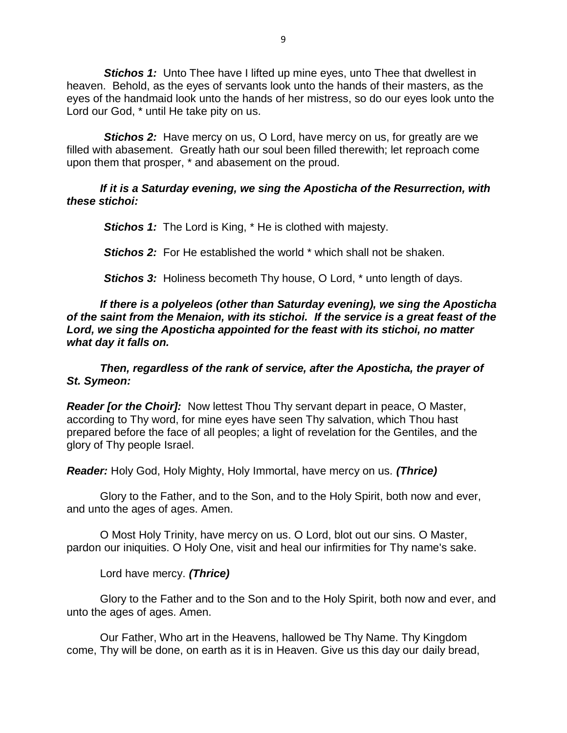*Stichos 1:* Unto Thee have I lifted up mine eyes, unto Thee that dwellest in heaven. Behold, as the eyes of servants look unto the hands of their masters, as the eyes of the handmaid look unto the hands of her mistress, so do our eyes look unto the Lord our God, \* until He take pity on us.

**Stichos 2:** Have mercy on us, O Lord, have mercy on us, for greatly are we filled with abasement. Greatly hath our soul been filled therewith; let reproach come upon them that prosper, \* and abasement on the proud.

## *If it is a Saturday evening, we sing the Aposticha of the Resurrection, with these stichoi:*

*Stichos 1:* The Lord is King, \* He is clothed with majesty.

*Stichos 2:* For He established the world \* which shall not be shaken.

**Stichos 3:** Holiness becometh Thy house, O Lord, \* unto length of days.

*If there is a polyeleos (other than Saturday evening), we sing the Aposticha of the saint from the Menaion, with its stichoi. If the service is a great feast of the Lord, we sing the Aposticha appointed for the feast with its stichoi, no matter what day it falls on.*

*Then, regardless of the rank of service, after the Aposticha, the prayer of St. Symeon:*

*Reader [or the Choir]:* Now lettest Thou Thy servant depart in peace, O Master, according to Thy word, for mine eyes have seen Thy salvation, which Thou hast prepared before the face of all peoples; a light of revelation for the Gentiles, and the glory of Thy people Israel.

*Reader:* Holy God, Holy Mighty, Holy Immortal, have mercy on us. *(Thrice)*

Glory to the Father, and to the Son, and to the Holy Spirit, both now and ever, and unto the ages of ages. Amen.

O Most Holy Trinity, have mercy on us. O Lord, blot out our sins. O Master, pardon our iniquities. O Holy One, visit and heal our infirmities for Thy name's sake.

Lord have mercy. *(Thrice)*

Glory to the Father and to the Son and to the Holy Spirit, both now and ever, and unto the ages of ages. Amen.

Our Father, Who art in the Heavens, hallowed be Thy Name. Thy Kingdom come, Thy will be done, on earth as it is in Heaven. Give us this day our daily bread,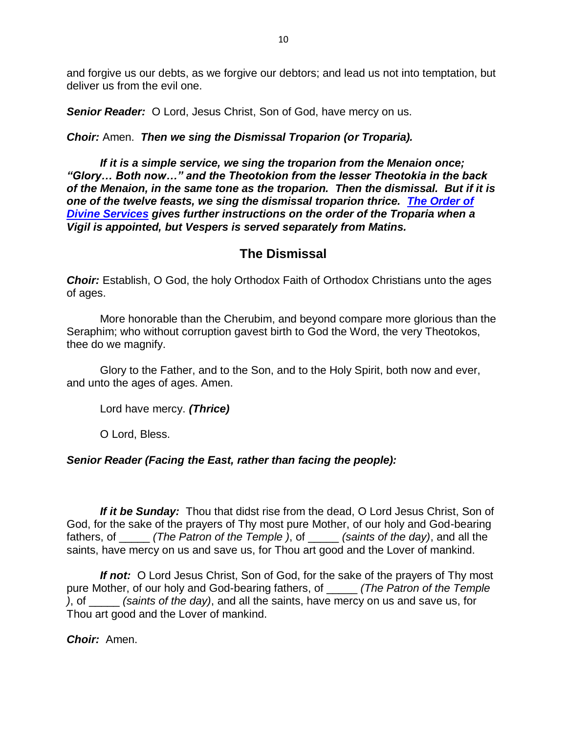and forgive us our debts, as we forgive our debtors; and lead us not into temptation, but deliver us from the evil one.

**Senior Reader:** O Lord, Jesus Christ, Son of God, have mercy on us.

## *Choir:* Amen. *Then we sing the Dismissal Troparion (or Troparia).*

*If it is a simple service, we sing the troparion from the Menaion once; "Glory… Both now…" and the Theotokion from the lesser Theotokia in the back of the Menaion, in the same tone as the troparion. Then the dismissal. But if it is one of the twelve feasts, we sing the dismissal troparion thrice. [The Order of](http://www.kronstadt.org/)  [Divine Services](http://www.kronstadt.org/) gives further instructions on the order of the Troparia when a Vigil is appointed, but Vespers is served separately from Matins.*

## **The Dismissal**

*Choir:* Establish, O God, the holy Orthodox Faith of Orthodox Christians unto the ages of ages.

More honorable than the Cherubim, and beyond compare more glorious than the Seraphim; who without corruption gavest birth to God the Word, the very Theotokos, thee do we magnify.

Glory to the Father, and to the Son, and to the Holy Spirit, both now and ever, and unto the ages of ages. Amen.

Lord have mercy. *(Thrice)*

O Lord, Bless.

## *Senior Reader (Facing the East, rather than facing the people):*

*If it be Sunday:* Thou that didst rise from the dead, O Lord Jesus Christ, Son of God, for the sake of the prayers of Thy most pure Mother, of our holy and God-bearing fathers, of \_\_\_\_\_ *(The Patron of the Temple )*, of \_\_\_\_\_ *(saints of the day)*, and all the saints, have mercy on us and save us, for Thou art good and the Lover of mankind.

*If not:* O Lord Jesus Christ, Son of God, for the sake of the prayers of Thy most pure Mother, of our holy and God-bearing fathers, of \_\_\_\_\_ *(The Patron of the Temple )*, of \_\_\_\_\_ *(saints of the day)*, and all the saints, have mercy on us and save us, for Thou art good and the Lover of mankind.

*Choir:* Amen.